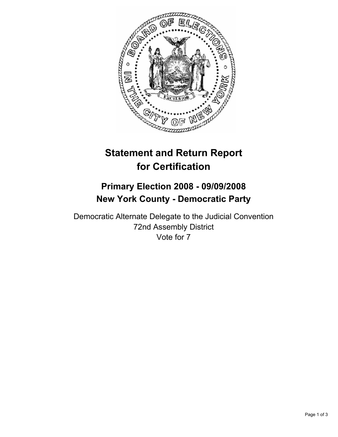

# **Statement and Return Report for Certification**

## **Primary Election 2008 - 09/09/2008 New York County - Democratic Party**

Democratic Alternate Delegate to the Judicial Convention 72nd Assembly District Vote for 7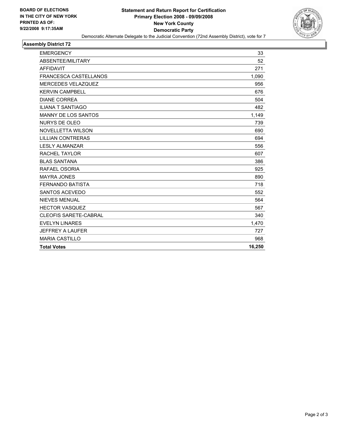

## **Assembly District 72**

| <b>EMERGENCY</b>             | 33     |
|------------------------------|--------|
| ABSENTEE/MILITARY            | 52     |
| <b>AFFIDAVIT</b>             | 271    |
| <b>FRANCESCA CASTELLANOS</b> | 1,090  |
| MERCEDES VELAZQUEZ           | 956    |
| <b>KERVIN CAMPBELL</b>       | 676    |
| <b>DIANE CORREA</b>          | 504    |
| <b>ILIANA T SANTIAGO</b>     | 482    |
| <b>MANNY DE LOS SANTOS</b>   | 1,149  |
| <b>NURYS DE OLEO</b>         | 739    |
| <b>NOVELLETTA WILSON</b>     | 690    |
| <b>LILLIAN CONTRERAS</b>     | 694    |
| <b>LESLY ALMANZAR</b>        | 556    |
| <b>RACHEL TAYLOR</b>         | 607    |
| <b>BLAS SANTANA</b>          | 386    |
| RAFAEL OSORIA                | 925    |
| <b>MAYRA JONES</b>           | 890    |
| <b>FERNANDO BATISTA</b>      | 718    |
| SANTOS ACEVEDO               | 552    |
| <b>NIEVES MENUAL</b>         | 564    |
| <b>HECTOR VASQUEZ</b>        | 567    |
| <b>CLEOFIS SARETE-CABRAL</b> | 340    |
| <b>EVELYN LINARES</b>        | 1,470  |
| <b>JEFFREY A LAUFER</b>      | 727    |
| <b>MARIA CASTILLO</b>        | 968    |
| <b>Total Votes</b>           | 16,250 |